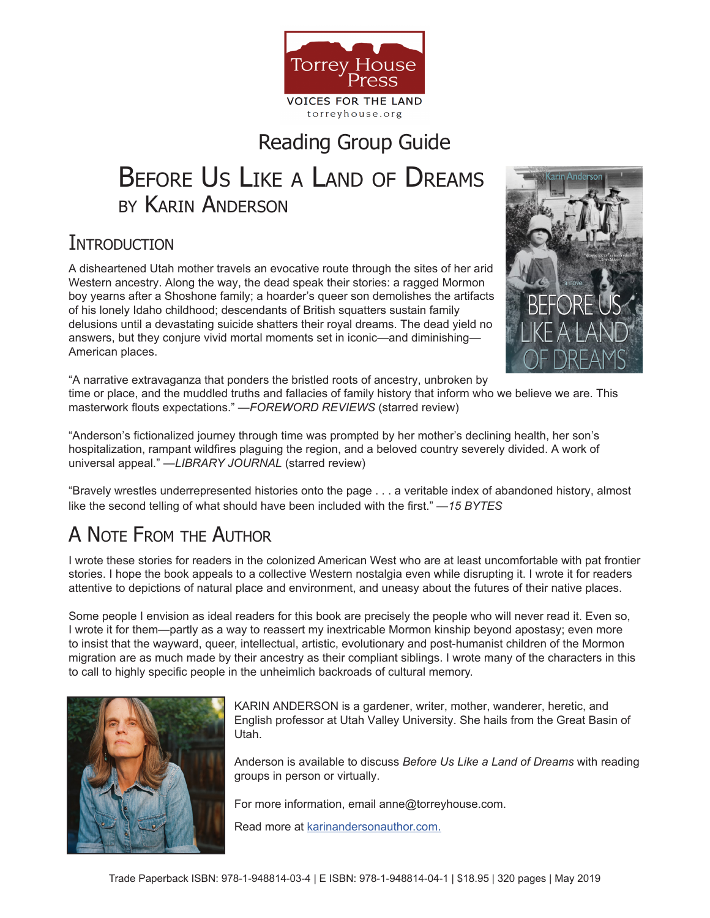

## Reading Group Guide

# Before Us Like a Land of Dreams by Karin Anderson

### **INTRODUCTION**

A disheartened Utah mother travels an evocative route through the sites of her arid Western ancestry. Along the way, the dead speak their stories: a ragged Mormon boy yearns after a Shoshone family; a hoarder's queer son demolishes the artifacts of his lonely Idaho childhood; descendants of British squatters sustain family delusions until a devastating suicide shatters their royal dreams. The dead yield no answers, but they conjure vivid mortal moments set in iconic—and diminishing— American places.



"A narrative extravaganza that ponders the bristled roots of ancestry, unbroken by

time or place, and the muddled truths and fallacies of family history that inform who we believe we are. This masterwork flouts expectations." —*FOREWORD REVIEWS* (starred review)

"Anderson's fictionalized journey through time was prompted by her mother's declining health, her son's hospitalization, rampant wildfires plaguing the region, and a beloved country severely divided. A work of universal appeal." —*LIBRARY JOURNAL* (starred review)

"Bravely wrestles underrepresented histories onto the page . . . a veritable index of abandoned history, almost like the second telling of what should have been included with the first." —*15 BYTES*

## A Note From the Author

I wrote these stories for readers in the colonized American West who are at least uncomfortable with pat frontier stories. I hope the book appeals to a collective Western nostalgia even while disrupting it. I wrote it for readers attentive to depictions of natural place and environment, and uneasy about the futures of their native places.

Some people I envision as ideal readers for this book are precisely the people who will never read it. Even so, I wrote it for them—partly as a way to reassert my inextricable Mormon kinship beyond apostasy; even more to insist that the wayward, queer, intellectual, artistic, evolutionary and post-humanist children of the Mormon migration are as much made by their ancestry as their compliant siblings. I wrote many of the characters in this to call to highly specific people in the unheimlich backroads of cultural memory.



KARIN ANDERSON is a gardener, writer, mother, wanderer, heretic, and English professor at Utah Valley University. She hails from the Great Basin of Utah.

Anderson is available to discuss *Before Us Like a Land of Dreams* with reading groups in person or virtually.

For more information, email anne@torreyhouse.com.

Read more at [karinandersonauthor.com.](https://karinandersonauthor.com/)